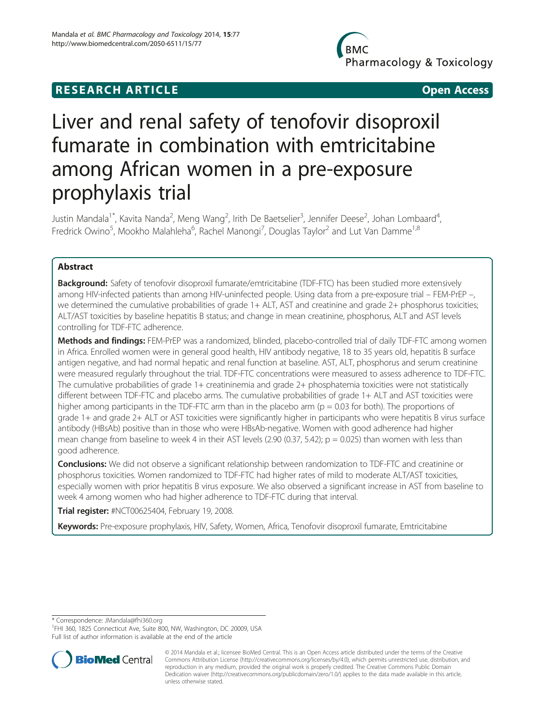## **RESEARCH ARTICLE Example 2008 CONSIDERING CONSIDERING CONSIDERING CONSIDERING CONSIDERING CONSIDERING CONSIDERING CONSIDERING CONSIDERING CONSIDERING CONSIDERING CONSIDERING CONSIDERING CONSIDERING CONSIDERING CONSIDE**

Pharmacology & Toxicology

# Liver and renal safety of tenofovir disoproxil fumarate in combination with emtricitabine among African women in a pre-exposure prophylaxis trial

Justin Mandala<sup>1\*</sup>, Kavita Nanda<sup>2</sup>, Meng Wang<sup>2</sup>, Irith De Baetselier<sup>3</sup>, Jennifer Deese<sup>2</sup>, Johan Lombaard<sup>4</sup> , Fredrick Owino<sup>5</sup>, Mookho Malahleha<sup>6</sup>, Rachel Manongi<sup>7</sup>, Douglas Taylor<sup>2</sup> and Lut Van Damme<sup>1,8</sup>

### Abstract

Background: Safety of tenofovir disoproxil fumarate/emtricitabine (TDF-FTC) has been studied more extensively among HIV-infected patients than among HIV-uninfected people. Using data from a pre-exposure trial – FEM-PrEP –, we determined the cumulative probabilities of grade 1+ ALT, AST and creatinine and grade 2+ phosphorus toxicities; ALT/AST toxicities by baseline hepatitis B status; and change in mean creatinine, phosphorus, ALT and AST levels controlling for TDF-FTC adherence.

Methods and findings: FEM-PrEP was a randomized, blinded, placebo-controlled trial of daily TDF-FTC among women in Africa. Enrolled women were in general good health, HIV antibody negative, 18 to 35 years old, hepatitis B surface antigen negative, and had normal hepatic and renal function at baseline. AST, ALT, phosphorus and serum creatinine were measured regularly throughout the trial. TDF-FTC concentrations were measured to assess adherence to TDF-FTC. The cumulative probabilities of grade 1+ creatininemia and grade 2+ phosphatemia toxicities were not statistically different between TDF-FTC and placebo arms. The cumulative probabilities of grade 1+ ALT and AST toxicities were higher among participants in the TDF-FTC arm than in the placebo arm ( $p = 0.03$  for both). The proportions of grade 1+ and grade 2+ ALT or AST toxicities were significantly higher in participants who were hepatitis B virus surface antibody (HBsAb) positive than in those who were HBsAb-negative. Women with good adherence had higher mean change from baseline to week 4 in their AST levels (2.90 (0.37, 5.42);  $p = 0.025$ ) than women with less than good adherence.

**Conclusions:** We did not observe a significant relationship between randomization to TDF-FTC and creatinine or phosphorus toxicities. Women randomized to TDF-FTC had higher rates of mild to moderate ALT/AST toxicities, especially women with prior hepatitis B virus exposure. We also observed a significant increase in AST from baseline to week 4 among women who had higher adherence to TDF-FTC during that interval.

**Trial register:** [#NCT00625404](https://clinicaltrials.gov/ct2/show/NCT00625404?term=NCT00625404&rank=1), February 19, 2008.

Keywords: Pre-exposure prophylaxis, HIV, Safety, Women, Africa, Tenofovir disoproxil fumarate, Emtricitabine

\* Correspondence: [JMandala@fhi360.org](mailto:JMandala@fhi360.org) <sup>1</sup>

<sup>1</sup>FHI 360, 1825 Connecticut Ave, Suite 800, NW, Washington, DC 20009, USA Full list of author information is available at the end of the article



<sup>© 2014</sup> Mandala et al.; licensee BioMed Central. This is an Open Access article distributed under the terms of the Creative Commons Attribution License [\(http://creativecommons.org/licenses/by/4.0\)](http://creativecommons.org/licenses/by/4.0), which permits unrestricted use, distribution, and reproduction in any medium, provided the original work is properly credited. The Creative Commons Public Domain Dedication waiver [\(http://creativecommons.org/publicdomain/zero/1.0/](http://creativecommons.org/publicdomain/zero/1.0/)) applies to the data made available in this article, unless otherwise stated.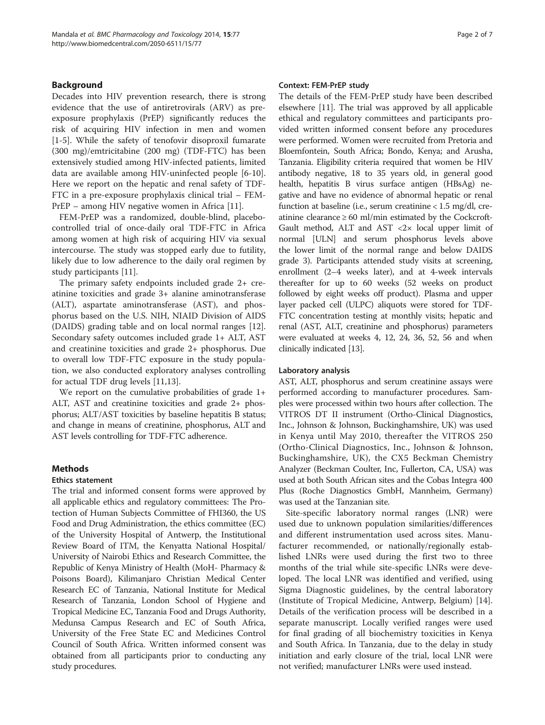### Background

Decades into HIV prevention research, there is strong evidence that the use of antiretrovirals (ARV) as preexposure prophylaxis (PrEP) significantly reduces the risk of acquiring HIV infection in men and women [[1-5](#page-6-0)]. While the safety of tenofovir disoproxil fumarate (300 mg)/emtricitabine (200 mg) (TDF-FTC) has been extensively studied among HIV-infected patients, limited data are available among HIV-uninfected people [[6-10](#page-6-0)]. Here we report on the hepatic and renal safety of TDF-FTC in a pre-exposure prophylaxis clinical trial – FEM-PrEP – among HIV negative women in Africa [\[11](#page-6-0)].

FEM-PrEP was a randomized, double-blind, placebocontrolled trial of once-daily oral TDF-FTC in Africa among women at high risk of acquiring HIV via sexual intercourse. The study was stopped early due to futility, likely due to low adherence to the daily oral regimen by study participants [[11\]](#page-6-0).

The primary safety endpoints included grade 2+ creatinine toxicities and grade 3+ alanine aminotransferase (ALT), aspartate aminotransferase (AST), and phosphorus based on the U.S. NIH, NIAID Division of AIDS (DAIDS) grading table and on local normal ranges [\[12](#page-6-0)]. Secondary safety outcomes included grade 1+ ALT, AST and creatinine toxicities and grade 2+ phosphorus. Due to overall low TDF-FTC exposure in the study population, we also conducted exploratory analyses controlling for actual TDF drug levels [\[11,13](#page-6-0)].

We report on the cumulative probabilities of grade 1+ ALT, AST and creatinine toxicities and grade 2+ phosphorus; ALT/AST toxicities by baseline hepatitis B status; and change in means of creatinine, phosphorus, ALT and AST levels controlling for TDF-FTC adherence.

### Methods

### Ethics statement

The trial and informed consent forms were approved by all applicable ethics and regulatory committees: The Protection of Human Subjects Committee of FHI360, the US Food and Drug Administration, the ethics committee (EC) of the University Hospital of Antwerp, the Institutional Review Board of ITM, the Kenyatta National Hospital/ University of Nairobi Ethics and Research Committee, the Republic of Kenya Ministry of Health (MoH- Pharmacy & Poisons Board), Kilimanjaro Christian Medical Center Research EC of Tanzania, National Institute for Medical Research of Tanzania, London School of Hygiene and Tropical Medicine EC, Tanzania Food and Drugs Authority, Medunsa Campus Research and EC of South Africa, University of the Free State EC and Medicines Control Council of South Africa. Written informed consent was obtained from all participants prior to conducting any study procedures.

### Context: FEM-PrEP study

The details of the FEM-PrEP study have been described elsewhere [\[11](#page-6-0)]. The trial was approved by all applicable ethical and regulatory committees and participants provided written informed consent before any procedures were performed. Women were recruited from Pretoria and Bloemfontein, South Africa; Bondo, Kenya; and Arusha, Tanzania. Eligibility criteria required that women be HIV antibody negative, 18 to 35 years old, in general good health, hepatitis B virus surface antigen (HBsAg) negative and have no evidence of abnormal hepatic or renal function at baseline (i.e., serum creatinine < 1.5 mg/dl, creatinine clearance  $\geq 60$  ml/min estimated by the Cockcroft-Gault method, ALT and AST <2× local upper limit of normal [ULN] and serum phosphorus levels above the lower limit of the normal range and below DAIDS grade 3). Participants attended study visits at screening, enrollment (2–4 weeks later), and at 4-week intervals thereafter for up to 60 weeks (52 weeks on product followed by eight weeks off product). Plasma and upper layer packed cell (ULPC) aliquots were stored for TDF-FTC concentration testing at monthly visits; hepatic and renal (AST, ALT, creatinine and phosphorus) parameters were evaluated at weeks 4, 12, 24, 36, 52, 56 and when clinically indicated [[13](#page-6-0)].

### Laboratory analysis

AST, ALT, phosphorus and serum creatinine assays were performed according to manufacturer procedures. Samples were processed within two hours after collection. The VITROS DT II instrument (Ortho-Clinical Diagnostics, Inc., Johnson & Johnson, Buckinghamshire, UK) was used in Kenya until May 2010, thereafter the VITROS 250 (Ortho-Clinical Diagnostics, Inc., Johnson & Johnson, Buckinghamshire, UK), the CX5 Beckman Chemistry Analyzer (Beckman Coulter, Inc, Fullerton, CA, USA) was used at both South African sites and the Cobas Integra 400 Plus (Roche Diagnostics GmbH, Mannheim, Germany) was used at the Tanzanian site.

Site-specific laboratory normal ranges (LNR) were used due to unknown population similarities/differences and different instrumentation used across sites. Manufacturer recommended, or nationally/regionally established LNRs were used during the first two to three months of the trial while site-specific LNRs were developed. The local LNR was identified and verified, using Sigma Diagnostic guidelines, by the central laboratory (Institute of Tropical Medicine, Antwerp, Belgium) [\[14](#page-6-0)]. Details of the verification process will be described in a separate manuscript. Locally verified ranges were used for final grading of all biochemistry toxicities in Kenya and South Africa. In Tanzania, due to the delay in study initiation and early closure of the trial, local LNR were not verified; manufacturer LNRs were used instead.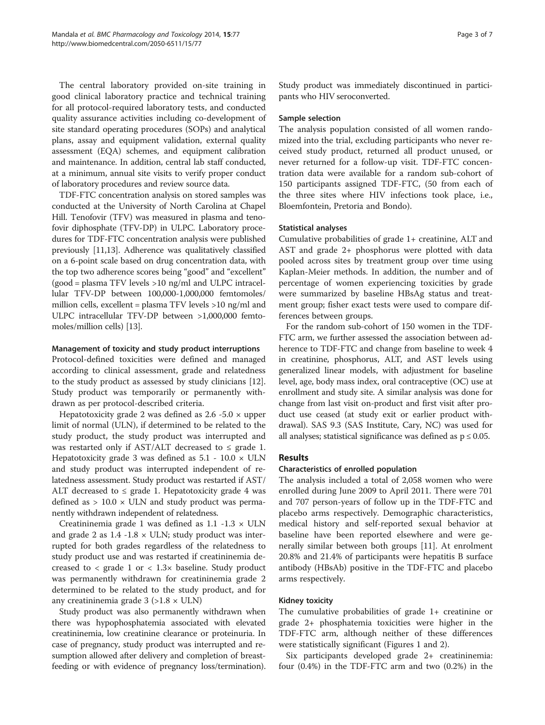The central laboratory provided on-site training in good clinical laboratory practice and technical training for all protocol-required laboratory tests, and conducted quality assurance activities including co-development of site standard operating procedures (SOPs) and analytical plans, assay and equipment validation, external quality assessment (EQA) schemes, and equipment calibration and maintenance. In addition, central lab staff conducted, at a minimum, annual site visits to verify proper conduct of laboratory procedures and review source data.

TDF-FTC concentration analysis on stored samples was conducted at the University of North Carolina at Chapel Hill. Tenofovir (TFV) was measured in plasma and tenofovir diphosphate (TFV-DP) in ULPC. Laboratory procedures for TDF-FTC concentration analysis were published previously [[11](#page-6-0),[13](#page-6-0)]. Adherence was qualitatively classified on a 6-point scale based on drug concentration data, with the top two adherence scores being "good" and "excellent" (good = plasma TFV levels >10 ng/ml and ULPC intracellular TFV-DP between 100,000-1,000,000 femtomoles/ million cells, excellent = plasma TFV levels >10 ng/ml and ULPC intracellular TFV-DP between >1,000,000 femtomoles/million cells) [[13](#page-6-0)].

### Management of toxicity and study product interruptions

Protocol-defined toxicities were defined and managed according to clinical assessment, grade and relatedness to the study product as assessed by study clinicians [\[12](#page-6-0)]. Study product was temporarily or permanently withdrawn as per protocol-described criteria.

Hepatotoxicity grade 2 was defined as  $2.6 - 5.0 \times upper$ limit of normal (ULN), if determined to be related to the study product, the study product was interrupted and was restarted only if AST/ALT decreased to  $\leq$  grade 1. Hepatotoxicity grade 3 was defined as  $5.1 - 10.0 \times \text{ULN}$ and study product was interrupted independent of relatedness assessment. Study product was restarted if AST/ ALT decreased to  $\leq$  grade 1. Hepatotoxicity grade 4 was defined as  $> 10.0 \times$  ULN and study product was permanently withdrawn independent of relatedness.

Creatininemia grade 1 was defined as  $1.1 - 1.3 \times \text{ULN}$ and grade 2 as  $1.4 - 1.8 \times$  ULN; study product was interrupted for both grades regardless of the relatedness to study product use and was restarted if creatininemia decreased to  $\langle$  grade 1 or  $\langle$  1.3 $\times$  baseline. Study product was permanently withdrawn for creatininemia grade 2 determined to be related to the study product, and for any creatininemia grade  $3$  (>1.8  $\times$  ULN)

Study product was also permanently withdrawn when there was hypophosphatemia associated with elevated creatininemia, low creatinine clearance or proteinuria. In case of pregnancy, study product was interrupted and resumption allowed after delivery and completion of breastfeeding or with evidence of pregnancy loss/termination). Study product was immediately discontinued in participants who HIV seroconverted.

### Sample selection

The analysis population consisted of all women randomized into the trial, excluding participants who never received study product, returned all product unused, or never returned for a follow-up visit. TDF-FTC concentration data were available for a random sub-cohort of 150 participants assigned TDF-FTC, (50 from each of the three sites where HIV infections took place, i.e., Bloemfontein, Pretoria and Bondo).

### Statistical analyses

Cumulative probabilities of grade 1+ creatinine, ALT and AST and grade 2+ phosphorus were plotted with data pooled across sites by treatment group over time using Kaplan-Meier methods. In addition, the number and of percentage of women experiencing toxicities by grade were summarized by baseline HBsAg status and treatment group; fisher exact tests were used to compare differences between groups.

For the random sub-cohort of 150 women in the TDF-FTC arm, we further assessed the association between adherence to TDF-FTC and change from baseline to week 4 in creatinine, phosphorus, ALT, and AST levels using generalized linear models, with adjustment for baseline level, age, body mass index, oral contraceptive (OC) use at enrollment and study site. A similar analysis was done for change from last visit on-product and first visit after product use ceased (at study exit or earlier product withdrawal). SAS 9.3 (SAS Institute, Cary, NC) was used for all analyses; statistical significance was defined as  $p \le 0.05$ .

### Results

### Characteristics of enrolled population

The analysis included a total of 2,058 women who were enrolled during June 2009 to April 2011. There were 701 and 707 person-years of follow up in the TDF-FTC and placebo arms respectively. Demographic characteristics, medical history and self-reported sexual behavior at baseline have been reported elsewhere and were generally similar between both groups [\[11\]](#page-6-0). At enrolment 20.8% and 21.4% of participants were hepatitis B surface antibody (HBsAb) positive in the TDF-FTC and placebo arms respectively.

### Kidney toxicity

The cumulative probabilities of grade 1+ creatinine or grade 2+ phosphatemia toxicities were higher in the TDF-FTC arm, although neither of these differences were statistically significant (Figures [1](#page-3-0) and [2\)](#page-3-0).

Six participants developed grade 2+ creatininemia: four (0.4%) in the TDF-FTC arm and two (0.2%) in the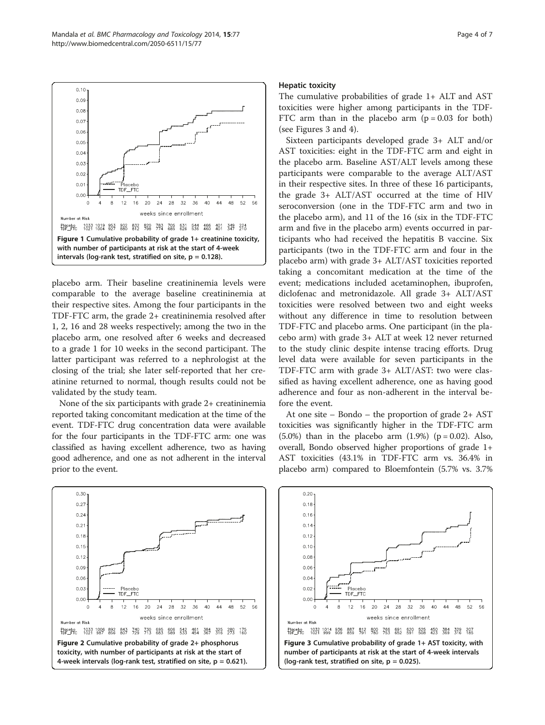placebo arm. Their baseline creatininemia levels were comparable to the average baseline creatininemia at their respective sites. Among the four participants in the TDF-FTC arm, the grade 2+ creatininemia resolved after 1, 2, 16 and 28 weeks respectively; among the two in the placebo arm, one resolved after 6 weeks and decreased to a grade 1 for 10 weeks in the second participant. The latter participant was referred to a nephrologist at the closing of the trial; she later self-reported that her creatinine returned to normal, though results could not be validated by the study team.

None of the six participants with grade 2+ creatininemia reported taking concomitant medication at the time of the event. TDF-FTC drug concentration data were available for the four participants in the TDF-FTC arm: one was classified as having excellent adherence, two as having good adherence, and one as not adherent in the interval prior to the event.

### Hepatic toxicity

The cumulative probabilities of grade 1+ ALT and AST toxicities were higher among participants in the TDF-FTC arm than in the placebo arm  $(p = 0.03$  for both) (see Figures 3 and [4\)](#page-4-0).

Sixteen participants developed grade 3+ ALT and/or AST toxicities: eight in the TDF-FTC arm and eight in the placebo arm. Baseline AST/ALT levels among these participants were comparable to the average ALT/AST in their respective sites. In three of these 16 participants, the grade 3+ ALT/AST occurred at the time of HIV seroconversion (one in the TDF-FTC arm and two in the placebo arm), and 11 of the 16 (six in the TDF-FTC arm and five in the placebo arm) events occurred in participants who had received the hepatitis B vaccine. Six participants (two in the TDF-FTC arm and four in the placebo arm) with grade 3+ ALT/AST toxicities reported taking a concomitant medication at the time of the event; medications included acetaminophen, ibuprofen, diclofenac and metronidazole. All grade 3+ ALT/AST toxicities were resolved between two and eight weeks without any difference in time to resolution between TDF-FTC and placebo arms. One participant (in the placebo arm) with grade 3+ ALT at week 12 never returned to the study clinic despite intense tracing efforts. Drug level data were available for seven participants in the TDF-FTC arm with grade 3+ ALT/AST: two were classified as having excellent adherence, one as having good adherence and four as non-adherent in the interval before the event.

At one site – Bondo – the proportion of grade 2+ AST toxicities was significantly higher in the TDF-FTC arm (5.0%) than in the placebo arm  $(1.9%)$  ( $p = 0.02$ ). Also, overall, Bondo observed higher proportions of grade 1+ AST toxicities (43.1% in TDF-FTC arm vs. 36.4% in placebo arm) compared to Bloemfontein (5.7% vs. 3.7%



 $0.30$ 

 $0.27$ 

toxicity, with number of participants at risk at the start of 4-week intervals (log-rank test, stratified on site,  $p = 0.621$ ).



<span id="page-3-0"></span>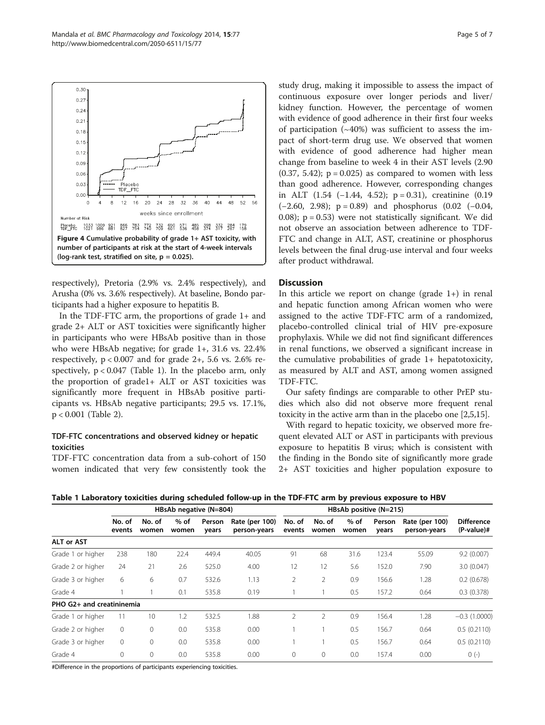respectively), Pretoria (2.9% vs. 2.4% respectively), and Arusha (0% vs. 3.6% respectively). At baseline, Bondo participants had a higher exposure to hepatitis B.

In the TDF-FTC arm, the proportions of grade 1+ and grade 2+ ALT or AST toxicities were significantly higher in participants who were HBsAb positive than in those who were HBsAb negative; for grade 1+, 31.6 vs. 22.4% respectively,  $p < 0.007$  and for grade 2+, 5.6 vs. 2.6% respectively,  $p < 0.047$  (Table 1). In the placebo arm, only the proportion of grade1+ ALT or AST toxicities was significantly more frequent in HBsAb positive participants vs. HBsAb negative participants; 29.5 vs. 17.1%, p < 0.001 (Table [2](#page-5-0)).

### TDF-FTC concentrations and observed kidney or hepatic toxicities

TDF-FTC concentration data from a sub-cohort of 150 women indicated that very few consistently took the study drug, making it impossible to assess the impact of continuous exposure over longer periods and liver/ kidney function. However, the percentage of women with evidence of good adherence in their first four weeks of participation  $(\sim 40\%)$  was sufficient to assess the impact of short-term drug use. We observed that women with evidence of good adherence had higher mean change from baseline to week 4 in their AST levels (2.90  $(0.37, 5.42)$ ;  $p = 0.025$ ) as compared to women with less than good adherence. However, corresponding changes in ALT  $(1.54 \ (-1.44, 4.52); p = 0.31)$ , creatinine  $(0.19)$ (−2.60, 2.98); p = 0.89) and phosphorus (0.02 (−0.04, 0.08);  $p = 0.53$  were not statistically significant. We did not observe an association between adherence to TDF-FTC and change in ALT, AST, creatinine or phosphorus levels between the final drug-use interval and four weeks after product withdrawal.

### **Discussion**

In this article we report on change (grade  $1+$ ) in renal and hepatic function among African women who were assigned to the active TDF-FTC arm of a randomized, placebo-controlled clinical trial of HIV pre-exposure prophylaxis. While we did not find significant differences in renal functions, we observed a significant increase in the cumulative probabilities of grade 1+ hepatotoxicity, as measured by ALT and AST, among women assigned TDF-FTC.

Our safety findings are comparable to other PrEP studies which also did not observe more frequent renal toxicity in the active arm than in the placebo one [[2,5,15\]](#page-6-0).

With regard to hepatic toxicity, we observed more frequent elevated ALT or AST in participants with previous exposure to hepatitis B virus; which is consistent with the finding in the Bondo site of significantly more grade 2+ AST toxicities and higher population exposure to

Table 1 Laboratory toxicities during scheduled follow-up in the TDF-FTC arm by previous exposure to HBV

|                           | HBsAb negative (N=804) |                 |                 |                 |                                |                  |                 |                 |                 |                                |                                 |
|---------------------------|------------------------|-----------------|-----------------|-----------------|--------------------------------|------------------|-----------------|-----------------|-----------------|--------------------------------|---------------------------------|
|                           | No. of<br>events       | No. of<br>women | $%$ of<br>women | Person<br>years | Rate (per 100)<br>person-years | No. of<br>events | No. of<br>women | $%$ of<br>women | Person<br>years | Rate (per 100)<br>person-years | <b>Difference</b><br>(P-value)# |
| <b>ALT or AST</b>         |                        |                 |                 |                 |                                |                  |                 |                 |                 |                                |                                 |
| Grade 1 or higher         | 238                    | 180             | 22.4            | 449.4           | 40.05                          | 91               | 68              | 31.6            | 123.4           | 55.09                          | 9.2(0.007)                      |
| Grade 2 or higher         | 24                     | 21              | 2.6             | 525.0           | 4.00                           | 12               | 12              | 5.6             | 152.0           | 7.90                           | 3.0(0.047)                      |
| Grade 3 or higher         | 6                      | 6               | 0.7             | 532.6           | 1.13                           | $\overline{2}$   | $\overline{2}$  | 0.9             | 156.6           | 1.28                           | 0.2(0.678)                      |
| Grade 4                   |                        |                 | 0.1             | 535.8           | 0.19                           |                  |                 | 0.5             | 157.2           | 0.64                           | 0.3(0.378)                      |
| PHO G2+ and creatininemia |                        |                 |                 |                 |                                |                  |                 |                 |                 |                                |                                 |
| Grade 1 or higher         | 11                     | 10              | 1.2             | 532.5           | 1.88                           | $\overline{2}$   | 2               | 0.9             | 156.4           | 1.28                           | $-0.3(1.0000)$                  |
| Grade 2 or higher         | $\mathbf{0}$           | $\Omega$        | 0.0             | 535.8           | 0.00                           |                  |                 | 0.5             | 156.7           | 0.64                           | 0.5(0.2110)                     |
| Grade 3 or higher         | $\mathbf{0}$           | $\mathbf{0}$    | 0.0             | 535.8           | 0.00                           |                  |                 | 0.5             | 156.7           | 0.64                           | 0.5(0.2110)                     |
| Grade 4                   | $\Omega$               | $\mathbf{0}$    | 0.0             | 535.8           | 0.00                           | 0                | 0               | 0.0             | 157.4           | 0.00                           | $0(-)$                          |

#Difference in the proportions of participants experiencing toxicities.

<span id="page-4-0"></span>Mandala et al. BMC Pharmacology and Toxicology 2014, 15:77 Page 5 of 7 http://www.biomedcentral.com/2050-6511/15/77

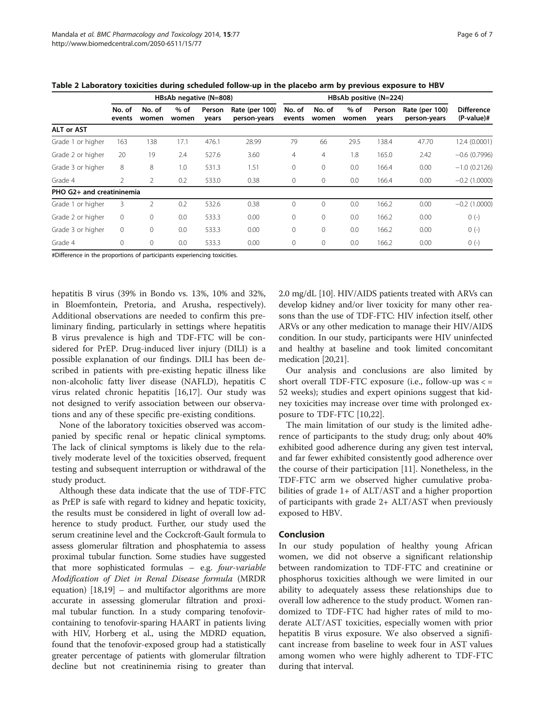|                           | HBsAb negative (N=808) |                 |                 |                 |                                |                  |                 |                 |                 |                                |                                 |
|---------------------------|------------------------|-----------------|-----------------|-----------------|--------------------------------|------------------|-----------------|-----------------|-----------------|--------------------------------|---------------------------------|
|                           | No. of<br>events       | No. of<br>women | $%$ of<br>women | Person<br>years | Rate (per 100)<br>person-years | No. of<br>events | No. of<br>women | $%$ of<br>women | Person<br>years | Rate (per 100)<br>person-years | <b>Difference</b><br>(P-value)# |
| <b>ALT or AST</b>         |                        |                 |                 |                 |                                |                  |                 |                 |                 |                                |                                 |
| Grade 1 or higher         | 163                    | 138             | 17.1            | 476.1           | 28.99                          | 79               | 66              | 29.5            | 138.4           | 47.70                          | 12.4 (0.0001)                   |
| Grade 2 or higher         | 20                     | 19              | 2.4             | 527.6           | 3.60                           | $\overline{4}$   | $\overline{4}$  | 1.8             | 165.0           | 2.42                           | $-0.6$ (0.7996)                 |
| Grade 3 or higher         | 8                      | 8               | 1.0             | 531.3           | 1.51                           | 0                | 0               | 0.0             | 166.4           | 0.00                           | $-1.0$ (0.2126)                 |
| Grade 4                   | 2                      | $\overline{2}$  | 0.2             | 533.0           | 0.38                           | 0                | 0               | 0.0             | 166.4           | 0.00                           | $-0.2$ (1.0000)                 |
| PHO G2+ and creatininemia |                        |                 |                 |                 |                                |                  |                 |                 |                 |                                |                                 |
| Grade 1 or higher         | 3                      | 2               | 0.2             | 532.6           | 0.38                           | $\Omega$         | 0               | 0.0             | 166.2           | 0.00                           | $-0.2$ (1.0000)                 |
| Grade 2 or higher         | 0                      | $\circ$         | 0.0             | 533.3           | 0.00                           | 0                | 0               | 0.0             | 166.2           | 0.00                           | $0(-)$                          |
| Grade 3 or higher         | $\circ$                | $\circ$         | 0.0             | 533.3           | 0.00                           | 0                | 0               | 0.0             | 166.2           | 0.00                           | $0(-)$                          |
| Grade 4                   | 0                      | $\circ$         | 0.0             | 533.3           | 0.00                           | 0                | $\circ$         | 0.0             | 166.2           | 0.00                           | $0(-)$                          |

<span id="page-5-0"></span>Table 2 Laboratory toxicities during scheduled follow-up in the placebo arm by previous exposure to HBV

#Difference in the proportions of participants experiencing toxicities.

hepatitis B virus (39% in Bondo vs. 13%, 10% and 32%, in Bloemfontein, Pretoria, and Arusha, respectively). Additional observations are needed to confirm this preliminary finding, particularly in settings where hepatitis B virus prevalence is high and TDF-FTC will be considered for PrEP. Drug-induced liver injury (DILI) is a possible explanation of our findings. DILI has been described in patients with pre-existing hepatic illness like non-alcoholic fatty liver disease (NAFLD), hepatitis C virus related chronic hepatitis [\[16,17\]](#page-6-0). Our study was not designed to verify association between our observations and any of these specific pre-existing conditions.

None of the laboratory toxicities observed was accompanied by specific renal or hepatic clinical symptoms. The lack of clinical symptoms is likely due to the relatively moderate level of the toxicities observed, frequent testing and subsequent interruption or withdrawal of the study product.

Although these data indicate that the use of TDF-FTC as PrEP is safe with regard to kidney and hepatic toxicity, the results must be considered in light of overall low adherence to study product. Further, our study used the serum creatinine level and the Cockcroft-Gault formula to assess glomerular filtration and phosphatemia to assess proximal tubular function. Some studies have suggested that more sophisticated formulas – e.g. four-variable Modification of Diet in Renal Disease formula (MRDR equation) [[18,19\]](#page-6-0) – and multifactor algorithms are more accurate in assessing glomerular filtration and proximal tubular function. In a study comparing tenofovircontaining to tenofovir-sparing HAART in patients living with HIV, Horberg et al., using the MDRD equation, found that the tenofovir-exposed group had a statistically greater percentage of patients with glomerular filtration decline but not creatininemia rising to greater than 2.0 mg/dL [[10](#page-6-0)]. HIV/AIDS patients treated with ARVs can develop kidney and/or liver toxicity for many other reasons than the use of TDF-FTC: HIV infection itself, other ARVs or any other medication to manage their HIV/AIDS condition. In our study, participants were HIV uninfected and healthy at baseline and took limited concomitant medication [\[20,21](#page-6-0)].

Our analysis and conclusions are also limited by short overall TDF-FTC exposure (i.e., follow-up was  $\lt$  = 52 weeks); studies and expert opinions suggest that kidney toxicities may increase over time with prolonged exposure to TDF-FTC [\[10,22\]](#page-6-0).

The main limitation of our study is the limited adherence of participants to the study drug; only about 40% exhibited good adherence during any given test interval, and far fewer exhibited consistently good adherence over the course of their participation [\[11](#page-6-0)]. Nonetheless, in the TDF-FTC arm we observed higher cumulative probabilities of grade 1+ of ALT/AST and a higher proportion of participants with grade 2+ ALT/AST when previously exposed to HBV.

### Conclusion

In our study population of healthy young African women, we did not observe a significant relationship between randomization to TDF-FTC and creatinine or phosphorus toxicities although we were limited in our ability to adequately assess these relationships due to overall low adherence to the study product. Women randomized to TDF-FTC had higher rates of mild to moderate ALT/AST toxicities, especially women with prior hepatitis B virus exposure. We also observed a significant increase from baseline to week four in AST values among women who were highly adherent to TDF-FTC during that interval.